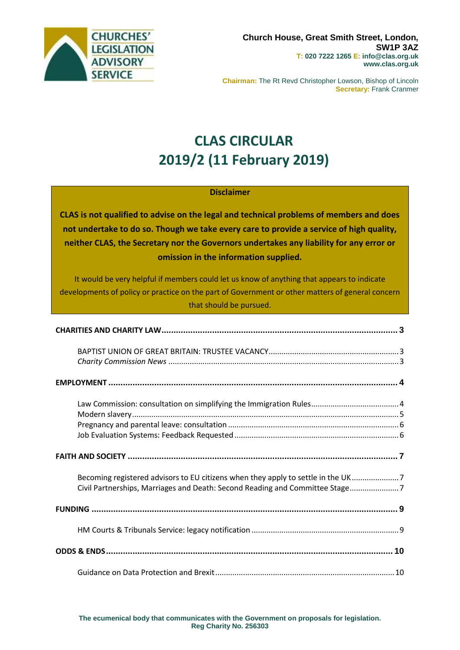

**Chairman:** The Rt Revd Christopher Lowson, Bishop of Lincoln **Secretary:** Frank Cranmer

# **CLAS CIRCULAR 2019/2 (11 February 2019)**

#### **Disclaimer**

**CLAS is not qualified to advise on the legal and technical problems of members and does not undertake to do so. Though we take every care to provide a service of high quality, neither CLAS, the Secretary nor the Governors undertakes any liability for any error or omission in the information supplied.**

It would be very helpful if members could let us know of anything that appears to indicate developments of policy or practice on the part of Government or other matters of general concern that should be pursued.

| Becoming registered advisors to EU citizens when they apply to settle in the UK7<br>Civil Partnerships, Marriages and Death: Second Reading and Committee Stage7 |
|------------------------------------------------------------------------------------------------------------------------------------------------------------------|
|                                                                                                                                                                  |
|                                                                                                                                                                  |
|                                                                                                                                                                  |
|                                                                                                                                                                  |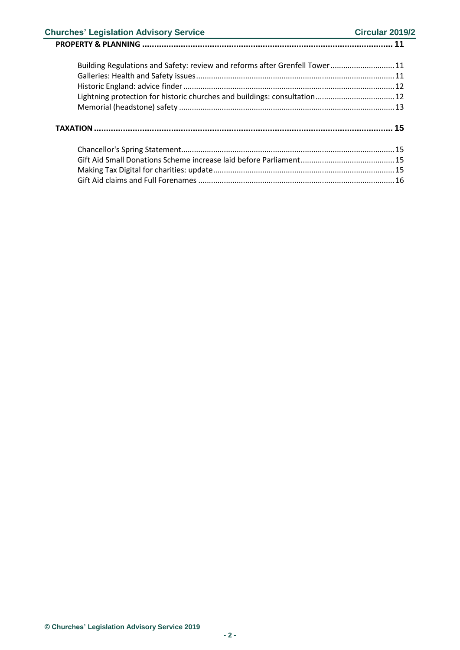### **Churches' Legislation Advisory Service Churches' Legislation Advisory Service Circular 2019/2**

## **PROPERTY & PLANNING [........................................................................................................](#page-10-0) 11**

**TAXATION[............................................................................................................................](#page-14-0) 15**

[Chancellor's Spring Statement....................................................................................................15](#page-14-1)

[Building Regulations and Safety: review and reforms after Grenfell Tower..............................11](#page-10-1) Galleries: Health [and Safety issues.............................................................................................11](#page-10-2) [Historic England: advice finder...................................................................................................12](#page-11-0) [Lightning protection for historic churches and buildings: consultation.....................................12](#page-11-1) Memorial (headstone) safety [.....................................................................................................13](#page-12-0)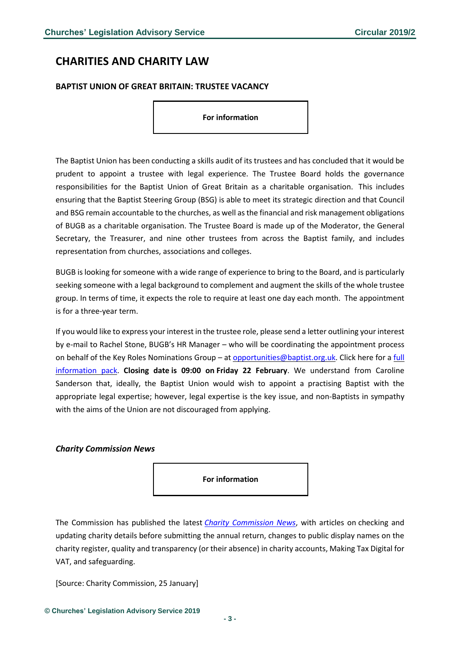## <span id="page-2-0"></span>**CHARITIES AND CHARITY LAW**

#### <span id="page-2-1"></span>**BAPTIST UNION OF GREAT BRITAIN: TRUSTEE VACANCY**

**For information**

The Baptist Union has been conducting a skills audit of its trustees and has concluded that it would be prudent to appoint a trustee with legal experience. The Trustee Board holds the governance responsibilities for the Baptist Union of Great Britain as a charitable organisation. This includes ensuring that the Baptist Steering Group (BSG) is able to meet its strategic direction and that Council and BSG remain accountable to the churches, as well as the financial and risk management obligations of BUGB as a charitable organisation. The Trustee Board is made up of the Moderator, the General Secretary, the Treasurer, and nine other trustees from across the Baptist family, and includes representation from churches, associations and colleges.

BUGB is looking for someone with a wide range of experience to bring to the Board, and is particularly seeking someone with a legal background to complement and augment the skills of the whole trustee group. In terms of time, it expects the role to require at least one day each month. The appointment is for a three-year term.

If you would like to express your interest in the trustee role, please send a letter outlining your interest by e-mail to Rachel Stone, BUGB's HR Manager – who will be coordinating the appointment process on behalf of the Key Roles Nominations Group – at [opportunities@baptist.org.uk.](mailto:opportunities@baptist.org.uk) Click here for a [full](https://www.baptist.org.uk/Publisher/File.aspx?ID=224061) [information](https://www.baptist.org.uk/Publisher/File.aspx?ID=224061) pack. **Closing date is 09:00 on Friday 22 February**. We understand from Caroline Sanderson that, ideally, the Baptist Union would wish to appoint a practising Baptist with the appropriate legal expertise; however, legal expertise is the key issue, and non-Baptists in sympathy with the aims of the Union are not discouraged from applying.

#### <span id="page-2-2"></span>*Charity Commission News*

**For information**

The Commission has published the latest *[Charity Commission News](https://www.gov.uk/government/publications/charity-commission-news-issue-62/charity-commission-news-issue-62)*, with articles on checking and updating charity details before submitting the annual return, changes to public display names on the charity register, quality and transparency (or their absence) in charity accounts, Making Tax Digital for VAT, and safeguarding.

[Source: Charity Commission, 25 January]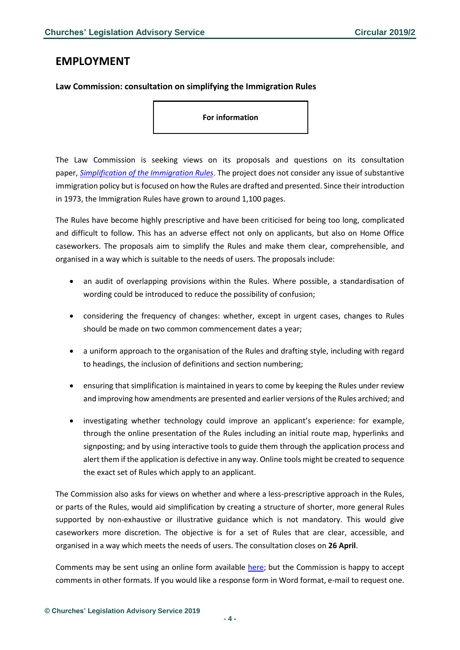## <span id="page-3-0"></span>**EMPLOYMENT**

#### <span id="page-3-1"></span>**Law Commission: consultation on simplifying the Immigration Rules**

**For information**

The Law Commission is seeking views on its proposals and questions on its consultation paper, *[Simplification of the Immigration Rules](https://s3-eu-west-2.amazonaws.com/lawcom-prod-storage-11jsxou24uy7q/uploads/2019/01/6.5247_LC_Immigration-Rules-Consultation_FINAL_180119_WEB.pdf)*. The project does not consider any issue of substantive immigration policy but is focused on how the Rules are drafted and presented. Since their introduction in 1973, the Immigration Rules have grown to around 1,100 pages.

The Rules have become highly prescriptive and have been criticised for being too long, complicated and difficult to follow. This has an adverse effect not only on applicants, but also on Home Office caseworkers. The proposals aim to simplify the Rules and make them clear, comprehensible, and organised in a way which is suitable to the needs of users. The proposals include:

- an audit of overlapping provisions within the Rules. Where possible, a standardisation of wording could be introduced to reduce the possibility of confusion;
- considering the frequency of changes: whether, except in urgent cases, changes to Rules should be made on two common commencement dates a year;
- a uniform approach to the organisation of the Rules and drafting style, including with regard to headings, the inclusion of definitions and section numbering;
- ensuring that simplification is maintained in years to come by keeping the Rules under review and improving how amendments are presented and earlier versions of the Rules archived; and
- investigating whether technology could improve an applicant's experience: for example, through the online presentation of the Rules including an initial route map, hyperlinks and signposting; and by using interactive tools to guide them through the application process and alert them if the application is defective in any way. Online tools might be created to sequence the exact set of Rules which apply to an applicant.

The Commission also asks for views on whether and where a less-prescriptive approach in the Rules, or parts of the Rules, would aid simplification by creating a structure of shorter, more general Rules supported by non-exhaustive or illustrative guidance which is not mandatory. This would give caseworkers more discretion. The objective is for a set of Rules that are clear, accessible, and organised in a way which meets the needs of users. The consultation closes on **26 April**.

Comments may be sent using an online form available [here;](https://www.lawcom.gov.uk/project/simplifying-the-%20immigration-rules/) but the Commission is happy to accept comments in other formats. If you would like a response form in Word format, e-mail to request one.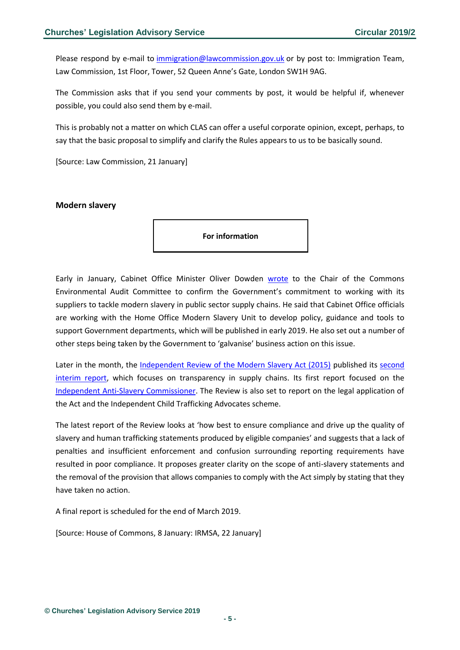Please respond by e-mail to [immigration@lawcommission.gov.uk](mailto:immigration@lawcommission.gov.uk) or by post to: Immigration Team, Law Commission, 1st Floor, Tower, 52 Queen Anne's Gate, London SW1H 9AG.

The Commission asks that if you send your comments by post, it would be helpful if, whenever possible, you could also send them by e-mail.

This is probably not a matter on which CLAS can offer a useful corporate opinion, except, perhaps, to say that the basic proposal to simplify and clarify the Rules appears to us to be basically sound.

[Source: Law Commission, 21 January]

#### <span id="page-4-0"></span>**Modern slavery**

**For information**

Early in January, Cabinet Office Minister Oliver Dowden [wrote](https://www.parliament.uk/documents/commons-committees/environmental-audit/correspondence/190108-Letter-from-Oliver-Dowden-Modern-salvery.pdf) to the Chair of the Commons Environmental Audit Committee to confirm the Government's commitment to working with its suppliers to tackle modern slavery in public sector supply chains. He said that Cabinet Office officials are working with the Home Office Modern Slavery Unit to develop policy, guidance and tools to support Government departments, which will be published in early 2019. He also set out a number of other steps being taken by the Government to 'galvanise' business action on this issue.

Later in the month, the [Independent Review of the Modern Slavery Act \(2015\)](https://www.independentmsareview.co.uk/) published its second [interim report,](https://www.gov.uk/government/publications/modern-slavery-act-2015-review-second-interim-report) which focuses on transparency in supply chains. Its first report focused on the [Independent Anti-Slavery Commissioner.](https://goo.gl/ff3dQM) The Review is also set to report on the legal application of the Act and the Independent Child Trafficking Advocates scheme.

The latest report of the Review looks at 'how best to ensure compliance and drive up the quality of slavery and human trafficking statements produced by eligible companies' and suggests that a lack of penalties and insufficient enforcement and confusion surrounding reporting requirements have resulted in poor compliance. It proposes greater clarity on the scope of anti-slavery statements and the removal of the provision that allows companies to comply with the Act simply by stating that they have taken no action.

A final report is scheduled for the end of March 2019.

[Source: House of Commons, 8 January: IRMSA, 22 January]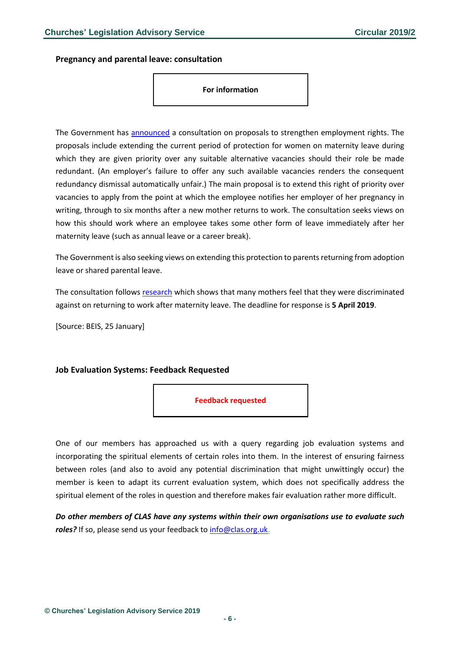<span id="page-5-0"></span>**Pregnancy and parental leave: consultation**

**For information**

The Government has [announced](https://assets.publishing.service.gov.uk/government/uploads/system/uploads/attachment_data/file/773179/extending-redundancy-protection-for-pregnant-women.pdf) a consultation on proposals to strengthen employment rights. The proposals include extending the current period of protection for women on maternity leave during which they are given priority over any suitable alternative vacancies should their role be made redundant. (An employer's failure to offer any such available vacancies renders the consequent redundancy dismissal automatically unfair.) The main proposal is to extend this right of priority over vacancies to apply from the point at which the employee notifies her employer of her pregnancy in writing, through to six months after a new mother returns to work. The consultation seeks views on how this should work where an employee takes some other form of leave immediately after her maternity leave (such as annual leave or a career break).

The Government is also seeking views on extending this protection to parents returning from adoption leave or shared parental leave.

The consultation follows [research](https://www.gov.uk/government/publications/pregnancy-and-maternity-related-discrimination-and-disadvantage-final-reports) which shows that many mothers feel that they were discriminated against on returning to work after maternity leave. The deadline for response is **5 April 2019**.

[Source: BEIS, 25 January]

#### <span id="page-5-1"></span>**Job Evaluation Systems: Feedback Requested**



One of our members has approached us with a query regarding job evaluation systems and incorporating the spiritual elements of certain roles into them. In the interest of ensuring fairness between roles (and also to avoid any potential discrimination that might unwittingly occur) the member is keen to adapt its current evaluation system, which does not specifically address the spiritual element of the roles in question and therefore makes fair evaluation rather more difficult.

*Do other members of CLAS have any systems within their own organisations use to evaluate such*  roles? If so, please send us your feedback t[o info@clas.org.uk.](mailto:info@clas.org.uk)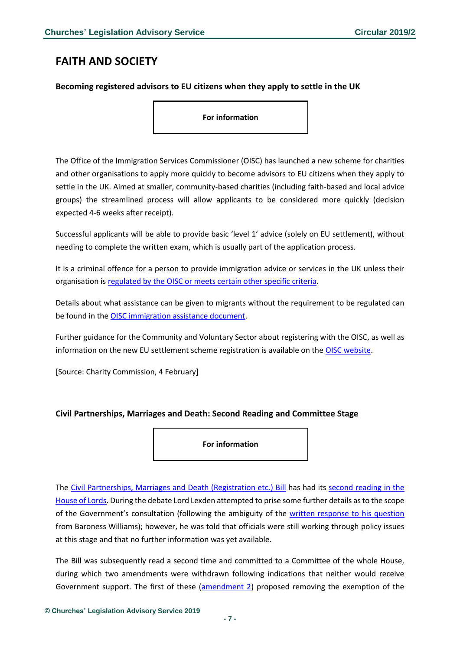## <span id="page-6-0"></span>**FAITH AND SOCIETY**

#### <span id="page-6-1"></span>**Becoming registered advisors to EU citizens when they apply to settle in the UK**

**For information**

The Office of the Immigration Services Commissioner (OISC) has launched a new scheme for charities and other organisations to apply more quickly to become advisors to EU citizens when they apply to settle in the UK. Aimed at smaller, community-based charities (including faith-based and local advice groups) the streamlined process will allow applicants to be considered more quickly (decision expected 4-6 weeks after receipt).

Successful applicants will be able to provide basic 'level 1' advice (solely on EU settlement), without needing to complete the written exam, which is usually part of the application process.

It is a criminal offence for a person to provide immigration advice or services in the UK unless their organisation is [regulated by the OISC or meets certain other specific criteria.](https://www.gov.uk/government/publications/how-to-become-a-regulated-immigration-adviser/how-to-become-a-regulated-immigration-adviser#check-if-you-need-to-apply-for-registration)

Details about what assistance can be given to migrants without the requirement to be regulated can be found in the **OISC** immigration assistance document.

Further guidance for the Community and Voluntary Sector about registering with the OISC, as well as information on the new EU settlement scheme registration is available on the [OISC website.](https://www.gov.uk/government/publications/guidance-for-the-community-and-voluntary-sector)

[Source: Charity Commission, 4 February]

#### <span id="page-6-2"></span>**Civil Partnerships, Marriages and Death: Second Reading and Committee Stage**

**For information**

The [Civil Partnerships, Marriages and Death \(Registration etc.\)](https://publications.parliament.uk/pa/bills/cbill/2017-2019/0011/18011.pdf) Bill has had its [second reading in the](https://hansard.parliament.uk/lords/2019-01-18/debates/323180BE-FFC8-4239-8388-D013A2F976D2/CivilPartnershipsMarriagesAndDeaths(RegistrationEtc))  [House of Lords.](https://hansard.parliament.uk/lords/2019-01-18/debates/323180BE-FFC8-4239-8388-D013A2F976D2/CivilPartnershipsMarriagesAndDeaths(RegistrationEtc)) During the debate Lord Lexden attempted to prise some further details as to the scope of the Government's consultation (following the ambiguity of the [written response to his question](https://www.parliament.uk/business/publications/written-questions-answers-statements/written-question/Lords/2019-01-23/HL13068/) from Baroness Williams); however, he was told that officials were still working through policy issues at this stage and that no further information was yet available.

The Bill was subsequently read a second time and committed to a Committee of the whole House, during which two amendments were withdrawn following indications that neither would receive Government support. The first of these [\(amendment 2\)](https://hansard.parliament.uk/Lords/2019-02-01/debates/286EF3D8-B1FF-46A4-A3E0-D806511DC96F/CivilPartnershipsMarriagesAndDeaths(RegistrationEtc)Bill#contribution-B15B476C-EF29-4A76-AE08-E15E8CDC3532) proposed removing the exemption of the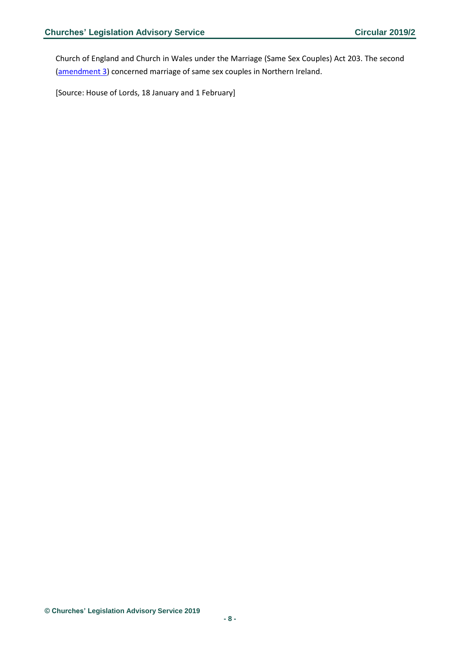Church of England and Church in Wales under the Marriage (Same Sex Couples) Act 203. The second [\(amendment](https://hansard.parliament.uk/Lords/2019-02-01/debates/286EF3D8-B1FF-46A4-A3E0-D806511DC96F/CivilPartnershipsMarriagesAndDeaths(RegistrationEtc)Bill#contribution-B234B1AE-A67C-4307-978F-BEDC2B91B3FD) 3) concerned marriage of same sex couples in Northern Ireland.

[Source: House of Lords, 18 January and 1 February]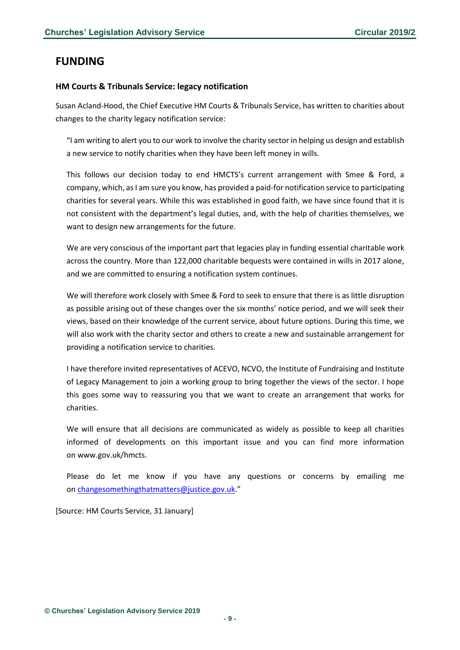## <span id="page-8-0"></span>**FUNDING**

#### <span id="page-8-1"></span>**HM Courts & Tribunals Service: legacy notification**

Susan Acland-Hood, the Chief Executive HM Courts & Tribunals Service, has written to charities about changes to the charity legacy notification service:

"I am writing to alert you to our work to involve the charity sector in helping us design and establish a new service to notify charities when they have been left money in wills.

This follows our decision today to end HMCTS's current arrangement with Smee & Ford, a company, which, as I am sure you know, has provided a paid-for notification service to participating charities for several years. While this was established in good faith, we have since found that it is not consistent with the department's legal duties, and, with the help of charities themselves, we want to design new arrangements for the future.

We are very conscious of the important part that legacies play in funding essential charitable work across the country. More than 122,000 charitable bequests were contained in wills in 2017 alone, and we are committed to ensuring a notification system continues.

We will therefore work closely with Smee & Ford to seek to ensure that there is as little disruption as possible arising out of these changes over the six months' notice period, and we will seek their views, based on their knowledge of the current service, about future options. During this time, we will also work with the charity sector and others to create a new and sustainable arrangement for providing a notification service to charities.

I have therefore invited representatives of ACEVO, NCVO, the Institute of Fundraising and Institute of Legacy Management to join a working group to bring together the views of the sector. I hope this goes some way to reassuring you that we want to create an arrangement that works for charities.

We will ensure that all decisions are communicated as widely as possible to keep all charities informed of developments on this important issue and you can find more information on www.gov.uk/hmcts.

Please do let me know if you have any questions or concerns by emailing me on [changesomethingthatmatters@justice.gov.uk.](mailto:changesomethingthatmatters@justice.gov.uk)"

[Source: HM Courts Service, 31 January]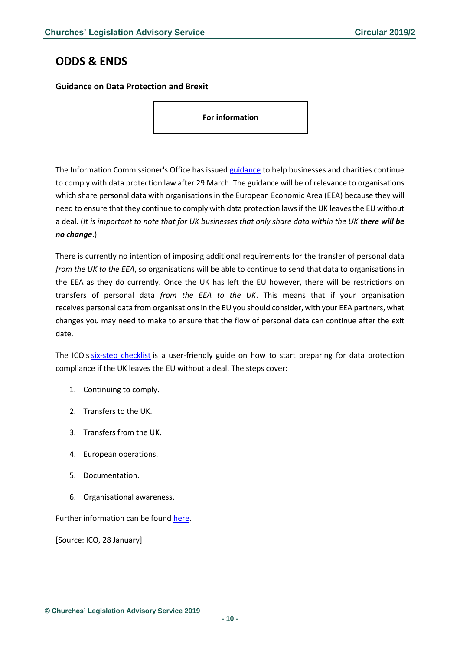## <span id="page-9-0"></span>**ODDS & ENDS**

#### <span id="page-9-1"></span>**Guidance on Data Protection and Brexit**

**For information**

The Information Commissioner's Office has issued [guidance](https://ico.org.uk/media/for-organisations/documents/2553958/leaving-the-eu-six-steps-to-take.pdf) to help businesses and charities continue to comply with data protection law after 29 March. The guidance will be of relevance to organisations which share personal data with organisations in the European Economic Area (EEA) because they will need to ensure that they continue to comply with data protection laws if the UK leaves the EU without a deal. (*It is important to note that for UK businesses that only share data within the UK there will be no change*.)

There is currently no intention of imposing additional requirements for the transfer of personal data *from the UK to the EEA*, so organisations will be able to continue to send that data to organisations in the EEA as they do currently. Once the UK has left the EU however, there will be restrictions on transfers of personal data *from the EEA to the UK*. This means that if your organisation receives personal data from organisations in the EU you should consider, with your EEA partners, what changes you may need to make to ensure that the flow of personal data can continue after the exit date.

The ICO's [six-step checklist](https://ico.org.uk/media/for-organisations/documents/2553958/leaving-the-eu-six-steps-to-take.pdf) is a user-friendly guide on how to start preparing for data protection compliance if the UK leaves the EU without a deal. The steps cover:

- 1. Continuing to comply.
- 2. Transfers to the UK.
- 3. Transfers from the UK.
- 4. European operations.
- 5. Documentation.
- 6. Organisational awareness.

Further information can be found [here.](https://www.gov.uk/government/news/data-protection-and-brexit-is-your-organisation-prepared)

[Source: ICO, 28 January]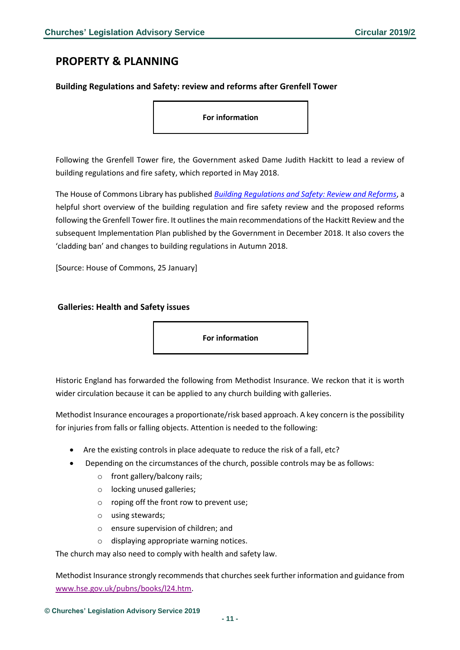## <span id="page-10-0"></span>**PROPERTY & PLANNING**

#### <span id="page-10-1"></span>**Building Regulations and Safety: review and reforms after Grenfell Tower**

**For information**

Following the Grenfell Tower fire, the Government asked Dame Judith Hackitt to lead a review of building regulations and fire safety, which reported in May 2018.

The House of Commons Library has published *Building Regulations [and Safety: Review and Reforms](http://researchbriefings.files.parliament.uk/documents/CBP-8482/CBP-8482.pdf)*, a helpful short overview of the building regulation and fire safety review and the proposed reforms following the Grenfell Tower fire. It outlines the main recommendations of the Hackitt Review and the subsequent Implementation Plan published by the Government in December 2018. It also covers the 'cladding ban' and changes to building regulations in Autumn 2018.

[Source: House of Commons, 25 January]

#### <span id="page-10-2"></span>**Galleries: Health and Safety issues**

**For information**

Historic England has forwarded the following from Methodist Insurance. We reckon that it is worth wider circulation because it can be applied to any church building with galleries.

Methodist Insurance encourages a proportionate/risk based approach. A key concern is the possibility for injuries from falls or falling objects. Attention is needed to the following:

- Are the existing controls in place adequate to reduce the risk of a fall, etc?
- Depending on the circumstances of the church, possible controls may be as follows:
	- o front gallery/balcony rails;
	- o locking unused galleries;
	- o roping off the front row to prevent use;
	- o using stewards;
	- o ensure supervision of children; and
	- o displaying appropriate warning notices.

The church may also need to comply with health and safety law.

Methodist Insurance strongly recommends that churches seek further information and guidance from [www.hse.gov.uk/pubns/books/l24.htm.](http://www.hse.gov.uk/pubns/books/l24.htm)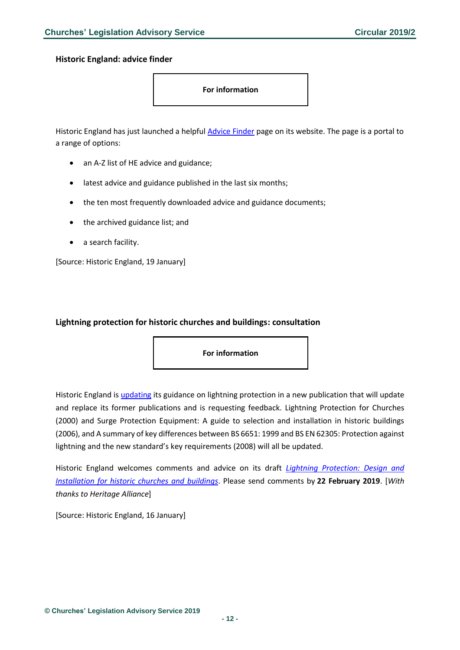<span id="page-11-0"></span>**Historic England: advice finder**

**For information**

Historic England has just launched a helpful [Advice Finder](https://historicengland.org.uk/advice/find/) page on its website. The page is a portal to a range of options:

- an A-Z list of HE advice and guidance;
- latest advice and guidance published in the last six months;
- the ten most frequently downloaded advice and guidance documents;
- the archived guidance list; and
- a search facility.

[Source: Historic England, 19 January]

#### <span id="page-11-1"></span>**Lightning protection for historic churches and buildings: consultation**

**For information**

Historic England is [updating](https://historicengland.org.uk/about/what-we-do/consultations/guidance-open-for-consultation/) its guidance on lightning protection in a new publication that will update and replace its former publications and is requesting feedback. Lightning Protection for Churches (2000) and Surge Protection Equipment: A guide to selection and installation in historic buildings (2006), and A summary of key differences between BS 6651: 1999 and BS EN 62305: Protection against lightning and the new standard's key requirements (2008) will all be updated.

Historic England welcomes comments and advice on its draft *[Lightning Protection: Design and](https://historicengland.org.uk/content/docs/guidance/lightning-protection-consultation-draft/)  [Installation for historic churches and buildings](https://historicengland.org.uk/content/docs/guidance/lightning-protection-consultation-draft/)*. Please send comments by **22 February 2019**. [*With thanks to Heritage Alliance*]

[Source: Historic England, 16 January]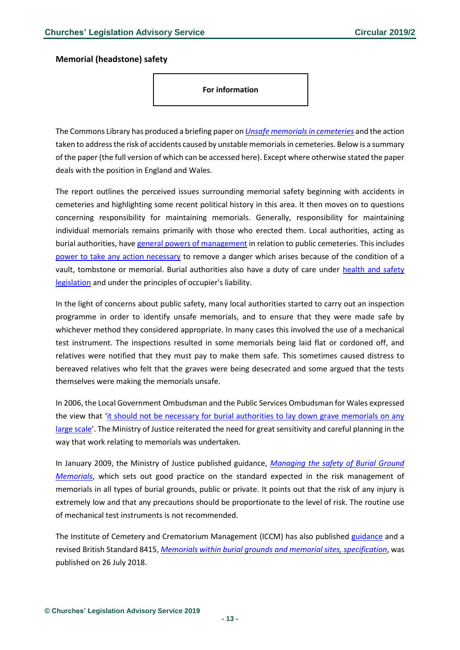#### <span id="page-12-0"></span>**Memorial (headstone) safety**

**For information**

The Commons Library has produced a briefing paper on *[Unsafe memorials in cemeteries](http://researchbriefings.files.parliament.uk/documents/SN03634/SN03634.pdf)* and the action taken to address the risk of accidents caused by unstable memorials in cemeteries. Below is a summary of the paper (the full version of which can be accessed here). Except where otherwise stated the paper deals with the position in England and Wales.

The report outlines the perceived issues surrounding memorial safety beginning with accidents in cemeteries and highlighting some recent political history in this area. It then moves on to questions concerning responsibility for maintaining memorials. Generally, responsibility for maintaining individual memorials remains primarily with those who erected them. Local authorities, acting as burial authorities, hav[e general powers of management](http://www.legislation.gov.uk/ukpga/1972/70/section/214) in relation to public cemeteries. This includes [power to take any action necessary](http://www.legislation.gov.uk/uksi/1977/204/contents/made) to remove a danger which arises because of the condition of a vault, tombstone or memorial. Burial authorities also have a duty of care under [health and safety](http://www.hse.gov.uk/workers/employers.htm)  [legislation](http://www.hse.gov.uk/workers/employers.htm) and under the principles of occupier's liability.

In the light of concerns about public safety, many local authorities started to carry out an inspection programme in order to identify unsafe memorials, and to ensure that they were made safe by whichever method they considered appropriate. In many cases this involved the use of a mechanical test instrument. The inspections resulted in some memorials being laid flat or cordoned off, and relatives were notified that they must pay to make them safe. This sometimes caused distress to bereaved relatives who felt that the graves were being desecrated and some argued that the tests themselves were making the memorials unsafe.

In 2006, the Local Government Ombudsman and the Public Services Ombudsman for Wales expressed the view that 'it should not be necessary for burial authorities to lay down grave memorials on any [large scale](http://www.google.co.uk/url?sa=t&rct=j&q=&esrc=s&source=web&cd=1&cad=rja&uact=8&ved=2ahUKEwib_IOn7pfgAhVM46QKHdhQBRAQFjAAegQICRAC&url=http%3A%2F%2Fm.fylde.gov.uk%2Fassets%2Ffiles%2F445%2FOmbudsman-report-Mem-safety.pdf&usg=AOvVaw3ly1AO3mfW5x9uCfPyNGYY)'. The Ministry of Justice reiterated the need for great sensitivity and careful planning in the way that work relating to memorials was undertaken.

In January 2009, the Ministry of Justice published guidance, *[Managing the safety of Burial Ground](https://www.gov.uk/government/uploads/system/uploads/attachment_data/file/326725/safety-burial-grounds.pdf)  [Memorials](https://www.gov.uk/government/uploads/system/uploads/attachment_data/file/326725/safety-burial-grounds.pdf)*, which sets out good practice on the standard expected in the risk management of memorials in all types of burial grounds, public or private. It points out that the risk of any injury is extremely low and that any precautions should be proportionate to the level of risk. The routine use of mechanical test instruments is not recommended.

The Institute of Cemetery and Crematorium Management (ICCM) has also published [guidance](http://www.iccm-uk.com/iccm/index.php) and a revised British Standard 8415, *[Memorials within burial grounds and memorial sites, specification](https://shop.bsigroup.com/ProductDetail/?pid=000000000030354436&_ga=2.166822270.1161811152.1548940897-1803209547.1548940897)*, was published on 26 July 2018.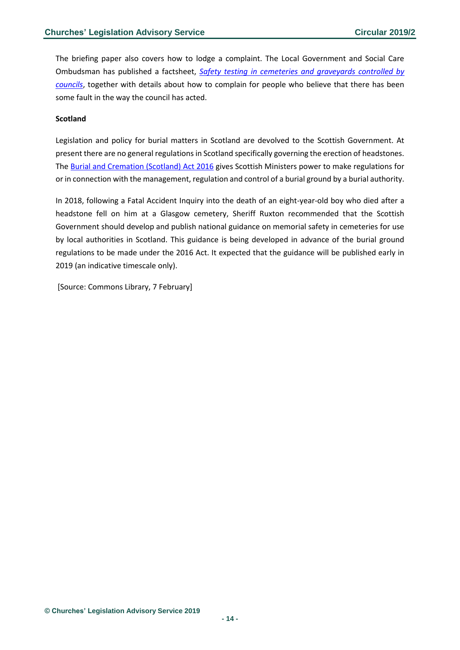The briefing paper also covers how to lodge a complaint. The Local Government and Social Care Ombudsman has published a factsheet, *[Safety testing in cemeteries and graveyards controlled by](http://www.lgo.org.uk/make-a-complaint/fact-sheets/other-topics/safety-testing-in-cemeteries-and-graveyards-controlled-by-councils)  [councils](http://www.lgo.org.uk/make-a-complaint/fact-sheets/other-topics/safety-testing-in-cemeteries-and-graveyards-controlled-by-councils)*, together with details about how to complain for people who believe that there has been some fault in the way the council has acted.

#### **Scotland**

Legislation and policy for burial matters in Scotland are devolved to the Scottish Government. At present there are no general regulations in Scotland specifically governing the erection of headstones. The [Burial and Cremation \(Scotland\) Act 2016](http://www.legislation.gov.uk/asp/2016/20/contents/enacted) gives Scottish Ministers power to make regulations for or in connection with the management, regulation and control of a burial ground by a burial authority.

In 2018, following a Fatal Accident Inquiry into the death of an eight-year-old boy who died after a headstone fell on him at a Glasgow cemetery, Sheriff Ruxton recommended that the Scottish Government should develop and publish national guidance on memorial safety in cemeteries for use by local authorities in Scotland. This guidance is being developed in advance of the burial ground regulations to be made under the 2016 Act. It expected that the guidance will be published early in 2019 (an indicative timescale only).

[Source: Commons Library, 7 February]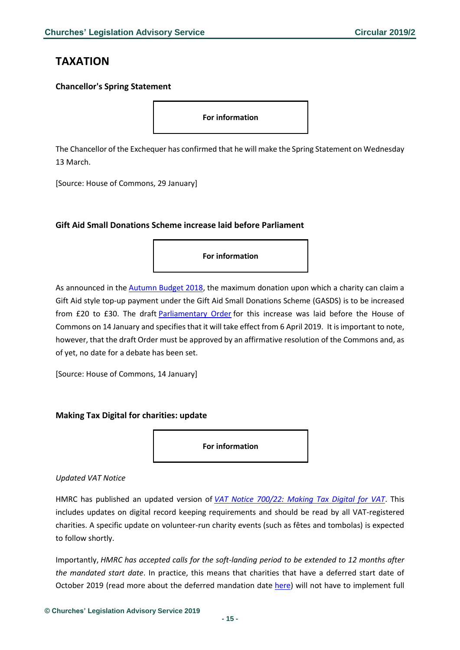## <span id="page-14-0"></span>**TAXATION**

#### <span id="page-14-1"></span>**Chancellor's Spring Statement**

**For information**

The Chancellor of the Exchequer has confirmed that he will make the Spring Statement on Wednesday 13 March.

[Source: House of Commons, 29 January]

#### <span id="page-14-2"></span>**Gift Aid Small Donations Scheme increase laid before Parliament**

**For information**

As announced in the [Autumn Budget 2018,](https://www.gov.uk/government/publications/budget-2018-documents/budget-2018) the maximum donation upon which a charity can claim a Gift Aid style top-up payment under the Gift Aid Small Donations Scheme (GASDS) is to be increased from £20 to £30. The draft [Parliamentary Order](http://www.legislation.gov.uk/ukdsi/2019/9780111178164/pdfs/ukdsiem_9780111178164_en.pdf) for this increase was laid before the House of Commons on 14 January and specifies that it will take effect from 6 April 2019. It is important to note, however, that the draft Order must be approved by an affirmative resolution of the Commons and, as of yet, no date for a debate has been set.

[Source: House of Commons, 14 January]

#### <span id="page-14-3"></span>**Making Tax Digital for charities: update**

**For information**

#### *Updated VAT Notice*

HMRC has published an updated version of *[VAT Notice 700/22: Making Tax Digital for VAT](https://www.gov.uk/government/publications/vat-notice-70022-making-tax-digital-for-vat/vat-notice-70022-making-tax-digital-for-vat)*. This includes updates on digital record keeping requirements and should be read by all VAT-registered charities. A specific update on volunteer-run charity events (such as fêtes and tombolas) is expected to follow shortly.

Importantly, *HMRC has accepted calls for the soft-landing period to be extended to 12 months after the mandated start date*. In practice, this means that charities that have a deferred start date of October 2019 (read more about the deferred mandation date [here\)](https://www.charitytaxgroup.org.uk/news-post/2019/mandation-making-tax-digital-delayed-charities/) will not have to implement full